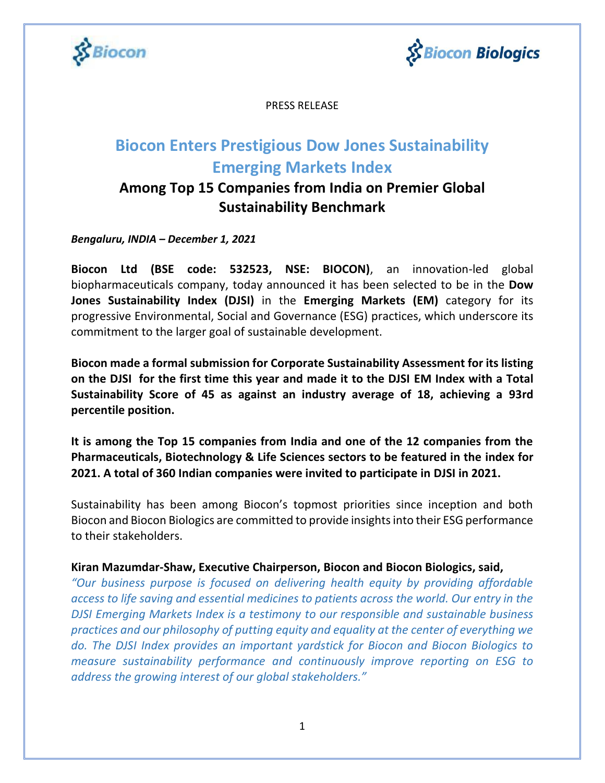



PRESS RELEASE

# **Biocon Enters Prestigious Dow Jones Sustainability Emerging Markets Index**

## **Among Top 15 Companies from India on Premier Global Sustainability Benchmark**

*Bengaluru, INDIA – December 1, 2021*

**Biocon Ltd (BSE code: 532523, NSE: BIOCON)**, an innovation-led global biopharmaceuticals company, today announced it has been selected to be in the **Dow Jones Sustainability Index (DJSI)** in the **Emerging Markets (EM)** category for its progressive Environmental, Social and Governance (ESG) practices, which underscore its commitment to the larger goal of sustainable development.

**Biocon made a formal submission for Corporate Sustainability Assessment for its listing on the DJSI for the first time this year and made it to the DJSI EM Index with a Total Sustainability Score of 45 as against an industry average of 18, achieving a 93rd percentile position.**

**It is among the Top 15 companies from India and one of the 12 companies from the Pharmaceuticals, Biotechnology & Life Sciences sectors to be featured in the index for 2021. A total of 360 Indian companies were invited to participate in DJSI in 2021.**

Sustainability has been among Biocon's topmost priorities since inception and both Biocon and Biocon Biologics are committed to provide insights into their ESG performance to their stakeholders.

**Kiran Mazumdar-Shaw, Executive Chairperson, Biocon and Biocon Biologics, said,**

*"Our business purpose is focused on delivering health equity by providing affordable access to life saving and essential medicines to patients across the world. Our entry in the DJSI Emerging Markets Index is a testimony to our responsible and sustainable business practices and our philosophy of putting equity and equality at the center of everything we do. The DJSI Index provides an important yardstick for Biocon and Biocon Biologics to measure sustainability performance and continuously improve reporting on ESG to address the growing interest of our global stakeholders."*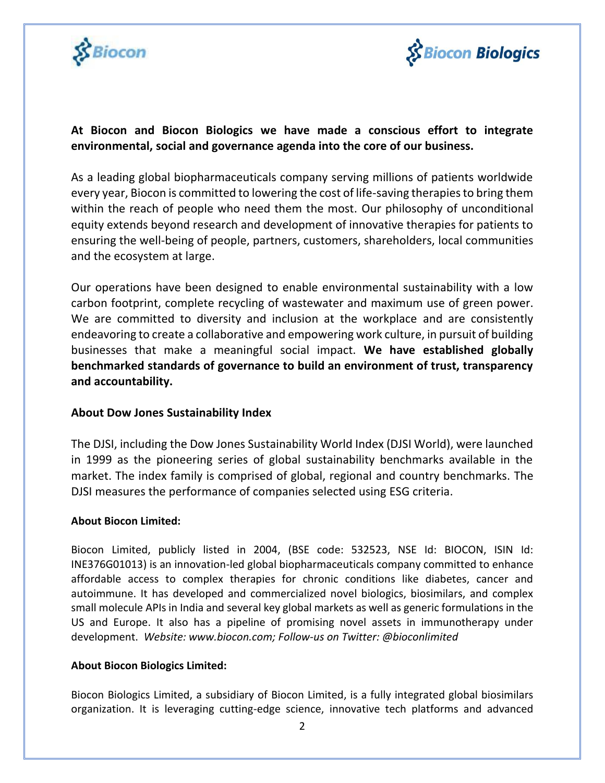



### **At Biocon and Biocon Biologics we have made a conscious effort to integrate environmental, social and governance agenda into the core of our business.**

As a leading global biopharmaceuticals company serving millions of patients worldwide every year, Biocon is committed to lowering the cost of life-saving therapies to bring them within the reach of people who need them the most. Our philosophy of unconditional equity extends beyond research and development of innovative therapies for patients to ensuring the well-being of people, partners, customers, shareholders, local communities and the ecosystem at large.

Our operations have been designed to enable environmental sustainability with a low carbon footprint, complete recycling of wastewater and maximum use of green power. We are committed to diversity and inclusion at the workplace and are consistently endeavoring to create a collaborative and empowering work culture, in pursuit of building businesses that make a meaningful social impact. **We have established globally benchmarked standards of governance to build an environment of trust, transparency and accountability.** 

#### **About Dow Jones Sustainability Index**

The DJSI, including the Dow Jones Sustainability World Index (DJSI World), were launched in 1999 as the pioneering series of global sustainability benchmarks available in the market. The index family is comprised of global, regional and country benchmarks. The DJSI measures the performance of companies selected using ESG criteria.

#### **About Biocon Limited:**

Biocon Limited, publicly listed in 2004, (BSE code: 532523, NSE Id: BIOCON, ISIN Id: INE376G01013) is an innovation-led global biopharmaceuticals company committed to enhance affordable access to complex therapies for chronic conditions like diabetes, cancer and autoimmune. It has developed and commercialized novel biologics, biosimilars, and complex small molecule APIs in India and several key global markets as well as generic formulations in the US and Europe. It also has a pipeline of promising novel assets in immunotherapy under development. *Website: [www.biocon.com;](http://www.biocon.com/) Follow-us on Twitter: @bioconlimited*

#### **About Biocon Biologics Limited:**

Biocon Biologics Limited, a subsidiary of Biocon Limited, is a fully integrated global biosimilars organization. It is leveraging cutting-edge science, innovative tech platforms and advanced